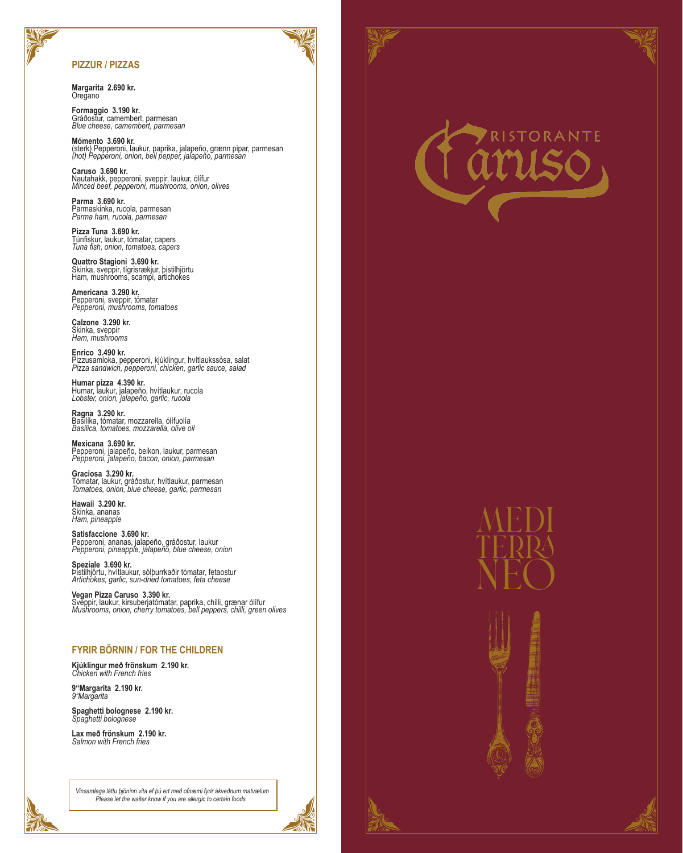## **PIZZUR / PIZZAS**

**Margarita 2.690 kr. Oregano** 

**Formaggio 3.190 kr.** Gráðostur, camembert, parmesan *Blue cheese, camembert, parmesan*

**Mómento 3.690 kr.** (sterk) Pepperoni, laukur, paprika, jalapeño, grænn pipar, parmesan *(hot) Pepperoni, onion, bell pepper, jalapeño, parmesan*

**Caruso 3.690 kr.** Nautahakk, pepperoni, sveppir, laukur, ólífur *Minced beef, pepperoni, mushrooms, onion, olives*

**Parma 3.690 kr.** Parmaskinka, rucola, parmesan *Parma ham, rucola, parmesan*

**Pizza Tuna 3.690 kr.** Túnfiskur, laukur, tómatar, capers *Tuna fish, onion, tomatoes, capers*

**Quattro Stagioni 3.690 kr.** Skinka, sveppir, tígrisrækjur, þistilhjörtu Ham, mushrooms, scampi, artichokes

**Americana 3.290 kr.** Pepperoni, sveppir, tómatar *Pepperoni, mushrooms, tomatoes*

**Calzone 3.290 kr.** Skinka, sveppir *Ham, mushrooms*

**Enrico 3.490 kr.** Pizzusamloka, pepperoni, kjúklingur, hvítlaukssósa, salat *Pizza sandwich, pepperoni, chicken, garlic sauce, salad*

**Humar pizza 4.390 kr.** Humar, laukur, jalapeño, hvítlaukur, rucola *Lobster, onion, jalapeño, garlic, rucola*

**Ragna 3.290 kr.** Basilíka, tómatar, mozzarella, ólífuolía *Basilica, tomatoes, mozzarella, olive oil*

**Mexicana 3.690 kr.** Pepperoni, jalapeño, beikon, laukur, parmesan *Pepperoni, jalapeño, bacon, onion, parmesan*

**Graciosa 3.290 kr.** Tómatar, laukur, gráðostur, hvítlaukur, parmesan *Tomatoes, onion, blue cheese, garlic, parmesan*

**Hawaii 3.290 kr.** Skinka, ananas *Ham, pineapple*

**Satisfaccione 3.690 kr.** Pepperoni, ananas, jalapeño, gráðostur, laukur *Pepperoni, pineapple, jalapeño, blue cheese, onion*

**Speziale 3.690 kr.** Þistilhjörtu, hvítlaukur, sólþurrkaðir tómatar, fetaostur *Artichokes, garlic, sun-dried tomatoes, feta cheese*

**Vegan Pizza Caruso 3.390 kr.** Sveppir, laukur, kirsuberjatómatar, paprika, chilli, grænar ólífur *Mushrooms, onion, cherry tomatoes, bell peppers, chilli, green olives* 

# **FYRIR BÖRNIN / FOR THE CHILDREN**

**Kjúklingur með frönskum 2.190 kr.** *Chicken with French fries*

**9"Margarita 2.190 kr.** *9"Margarita*

**Spaghetti bolognese 2.190 kr.** *Spaghetti bolognese*

**Lax með frönskum 2.190 kr.** *Salmon with French fries*

*Vinsamlega láttu þjóninn vita ef þú ert með ofnæmi fyrir ákveðnum matvælum Please let the waiter know if you are allergic to certain foods*